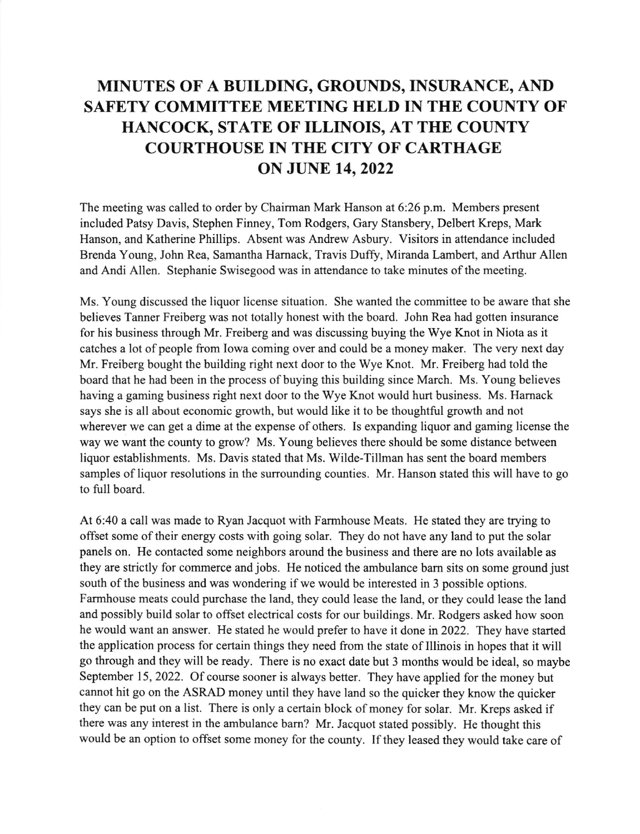## MINUTES OF A BUILDING, GROUNDS, INSURANCE, AND SAFETY COMMITTEE MEETING HELD IN THE COUNTY OF HANCOCK, STATE OF ILLINOIS, AT THE COUNTY COURTHOUSE IN THE CITY OF CARTHAGE **ON JUNE 14, 2022**

The meeting was called to order by Chairman Mark Hanson at 6:26 p.m. Members present included Patsy Davis, Stephen Finney, Tom Rodgers, Gary Stansbery, Delbert Kreps, Mark Hanson, and Katherine Phillips. Absent was Andrew Asbury. Visitors in attendance included Brenda Young, John Rea, Samantha Harnack, Travis Duffy, Miranda Lambert, and Arthur Allen and Andi Allen. Stephanie Swisegood was in attendance to take minutes of the meeting.

Ms. Young discussed the liquor license situation. She wanted the committee to be aware that she believes Tanner Freiberg was not totally honest with the board. John Rea had gotten insurance for his business through Mr. Freiberg and was discussing buying the Wye Knot in Niota as it catches a lot of people from Iowa coming over and could be a money maker. The very next day Mr. Freiberg bought the building right next door to the Wye Knot. Mr. Freiberg had told the board that he had been in the process of buying this building since March. Ms. Young believes having a gaming business right next door to the Wye Knot would hurt business. Ms. Hamack says she is all about economic growth, but would like it to be thoughtful growth and not wherever we can get a dime at the expense of others. Is expanding liquor and gaming license the way we want the county to grow? Ms. Young believes there should be some distance between liquor establishments. Ms. Davis stated that Ms. Wilde-Tillman has sent the board members samples of liquor resolutions in the surrounding counties. Mr. Hanson stated this will have to go to full board.

At 6:40 a call was made to Ryan Jacquot with Farmhouse Meats. He stated they are trying to offset some of their energy costs with going solar. They do not have any land to put the solar panels on. He contacted some neighbors around the business and there are no lots available as they are strictly for commerce and jobs. He noticed the ambulance barn sits on some ground just south of the business and was wondering if we would be interested in 3 possible options. Farmhouse meats could purchase the land, they could lease the land, or they could lease the land and possibly build solar to offset electrical costs for our buildings. Mr. Rodgers asked how soon he would want an answer. He stated he would prefer to have it done in 2022. They have started the application process for certain things they need from the state of Illinois in hopes that it will go through and they will be ready. There is no exact date but 3 months would be ideal, so maybe September 15, 2022. Of course sooner is always better. They have applied for the money but cannot hit go on the ASRAD money until they have land so the quicker they know the quicker they can be put on a list. There is only a certain block of money for solar. Mr. Kreps asked if there was any interest in the ambulance bam? Mr. Jacquot stated possibly. He thought this would be an option to offset some money for the county. If they leased they would take care of